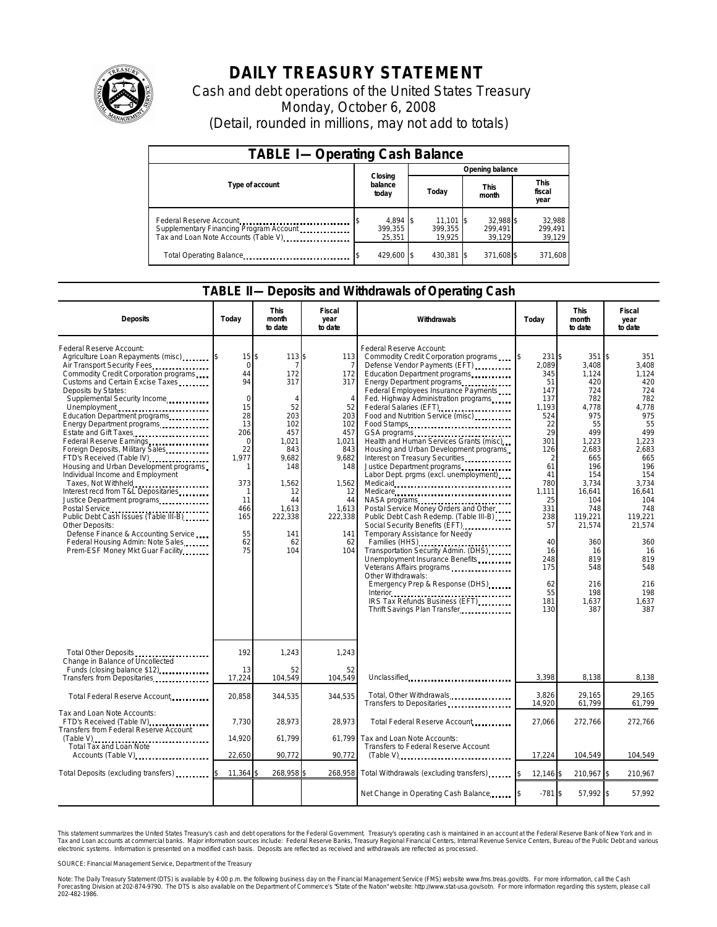

## **DAILY TREASURY STATEMENT**

Cash and debt operations of the United States Treasury Monday, October 6, 2008 (Detail, rounded in millions, may not add to totals)

| <b>TABLE I-Operating Cash Balance</b>                                                                      |                                  |                                 |                                |                               |  |  |  |
|------------------------------------------------------------------------------------------------------------|----------------------------------|---------------------------------|--------------------------------|-------------------------------|--|--|--|
|                                                                                                            |                                  | Opening balance                 |                                |                               |  |  |  |
| Type of account                                                                                            | Closing<br>balance<br>today      | Today                           | <b>This</b><br>month           | <b>This</b><br>fiscal<br>year |  |  |  |
| Federal Reserve Account<br>Supplementary Financing Program Account<br>Tax and Loan Note Accounts (Table V) | $4.894$ \\$<br>399.355<br>25.351 | $11.101$ S<br>399.355<br>19.925 | 32.988 \$<br>299.491<br>39.129 | 32,988<br>299.491<br>39,129   |  |  |  |
| Total Operating Balance                                                                                    | 429,600 \$                       | 430,381                         | 371,608 \$                     | 371,608                       |  |  |  |

## **TABLE II—Deposits and Withdrawals of Operating Cash**

| <b>Deposits</b>                                                                                                                                                                                                                                                                                                                                                                                                                                                                                                                                                                                                                                                                                                                                                                                | Today                                                                                                                                                                          | <b>This</b><br>month<br>to date                                                                                                                                             | Fiscal<br>year<br>to date                                                                                                                                        | Withdrawals                                                                                                                                                                                                                                                                                                                                                                                                                                                                                                                                                                                                                                                                                                                                                                                                                                                     | Today                                                                                                                                                                                               | <b>This</b><br>month<br>to date                                                                                                                                                                                                | <b>Fiscal</b><br>year<br>to date                                                                                                                                                                                              |
|------------------------------------------------------------------------------------------------------------------------------------------------------------------------------------------------------------------------------------------------------------------------------------------------------------------------------------------------------------------------------------------------------------------------------------------------------------------------------------------------------------------------------------------------------------------------------------------------------------------------------------------------------------------------------------------------------------------------------------------------------------------------------------------------|--------------------------------------------------------------------------------------------------------------------------------------------------------------------------------|-----------------------------------------------------------------------------------------------------------------------------------------------------------------------------|------------------------------------------------------------------------------------------------------------------------------------------------------------------|-----------------------------------------------------------------------------------------------------------------------------------------------------------------------------------------------------------------------------------------------------------------------------------------------------------------------------------------------------------------------------------------------------------------------------------------------------------------------------------------------------------------------------------------------------------------------------------------------------------------------------------------------------------------------------------------------------------------------------------------------------------------------------------------------------------------------------------------------------------------|-----------------------------------------------------------------------------------------------------------------------------------------------------------------------------------------------------|--------------------------------------------------------------------------------------------------------------------------------------------------------------------------------------------------------------------------------|-------------------------------------------------------------------------------------------------------------------------------------------------------------------------------------------------------------------------------|
| Federal Reserve Account:<br>Agriculture Loan Repayments (misc)<br>Air Transport Security Fees<br>Commodity Credit Corporation programs<br>Customs and Certain Excise Taxes<br>Deposits by States:<br>Supplemental Security Income<br>Unemployment<br>Education Department programs<br>Energy Department programs<br>Estate and Gift Taxes<br>Federal Reserve Earnings<br>Foreign Deposits, Military Sales<br>FTD's Received (Table IV)<br>Housing and Urban Development programs<br>Individual Income and Employment<br>Taxes, Not Withheld<br>Interest recd from T&L Depositaries<br>Justice Department programs<br>Public Debt Cash Issues (Table III-B)<br>Other Deposits:<br>Defense Finance & Accounting Service<br>Federal Housing Admin: Note Sales<br>Prem-ESF Money Mkt Guar Facility | $15$ $\bar{s}$<br>$\mathbf 0$<br>44<br>94<br>$\Omega$<br>15<br>28<br>13<br>206<br>$\mathbf 0$<br>22<br>1,977<br>$\mathbf{1}$<br>373<br>1<br>11<br>466<br>165<br>55<br>62<br>75 | 113 \$<br>ū<br>172<br>317<br>$\boldsymbol{\Lambda}$<br>52<br>203<br>102<br>457<br>1.021<br>843<br>9,682<br>148<br>1,562<br>12<br>44<br>1,613<br>222,338<br>141<br>62<br>104 | 113<br>7<br>172<br>317<br>$\overline{4}$<br>52<br>203<br>102<br>457<br>1,021<br>843<br>9,682<br>148<br>1,562<br>12<br>44<br>1,613<br>222,338<br>141<br>62<br>104 | Federal Reserve Account:<br>Commodity Credit Corporation programs<br>Defense Vendor Payments (EFT)<br>Education Department programs<br>Energy Department programs<br>Federal Employees Insurance Payments<br>Fed. Highway Administration programs<br>Federal Salaries (EFT)<br>Food and Nutrition Service (misc)<br><br>Food Stamps<br>Health and Human Services Grants (misc)<br>Housing and Urban Development programs<br>Interest on Treasury Securities<br>Labor Dept. prgms (excl. unemployment).<br>Medicare<br>Postal Service Money Orders and Other<br>Public Debt Cash Redemp. (Table III-B)<br>Social Security Benefits (EFT)<br>Temporary Assistance for Needy<br>Families (HHS)<br>Transportation Security Admin. (DHS)<br>Unemployment Insurance Benefits<br>Other Withdrawals:<br>Emergency Prep & Response (DHS)<br>Thrift Savings Plan Transfer | 231 \$<br>2,089<br>345<br>51<br>147<br>137<br>1,193<br>524<br>22<br>29<br>301<br>126<br>2<br>61<br>41<br>780<br>1,111<br>25<br>331<br>238<br>57<br>40<br>16<br>248<br>175<br>62<br>55<br>181<br>130 | 351S<br>3,408<br>1,124<br>420<br>724<br>782<br>4,778<br>975<br>55<br>499<br>1,223<br>2,683<br>665<br>196<br>154<br>3,734<br>16,641<br>104<br>748<br>119,221<br>21,574<br>360<br>16<br>819<br>548<br>216<br>198<br>1,637<br>387 | 351<br>3,408<br>1,124<br>420<br>724<br>782<br>4,778<br>975<br>55<br>499<br>1,223<br>2.683<br>665<br>196<br>154<br>3.734<br>16.641<br>104<br>748<br>119,221<br>21,574<br>360<br>16<br>819<br>548<br>216<br>198<br>1,637<br>387 |
| Total Other Deposits<br>Change in Balance of Uncollected<br>Funds (closing balance \$12)                                                                                                                                                                                                                                                                                                                                                                                                                                                                                                                                                                                                                                                                                                       | 192<br>13                                                                                                                                                                      | 1,243<br>52                                                                                                                                                                 | 1,243<br>52                                                                                                                                                      |                                                                                                                                                                                                                                                                                                                                                                                                                                                                                                                                                                                                                                                                                                                                                                                                                                                                 |                                                                                                                                                                                                     |                                                                                                                                                                                                                                |                                                                                                                                                                                                                               |
| Transfers from Depositaries                                                                                                                                                                                                                                                                                                                                                                                                                                                                                                                                                                                                                                                                                                                                                                    | 17,224                                                                                                                                                                         | 104,549                                                                                                                                                                     | 104,549                                                                                                                                                          | Unclassified                                                                                                                                                                                                                                                                                                                                                                                                                                                                                                                                                                                                                                                                                                                                                                                                                                                    | 3,398                                                                                                                                                                                               | 8,138                                                                                                                                                                                                                          | 8,138                                                                                                                                                                                                                         |
| Total Federal Reserve Account                                                                                                                                                                                                                                                                                                                                                                                                                                                                                                                                                                                                                                                                                                                                                                  | 20,858                                                                                                                                                                         | 344,535                                                                                                                                                                     | 344,535                                                                                                                                                          | Total, Other Withdrawals                                                                                                                                                                                                                                                                                                                                                                                                                                                                                                                                                                                                                                                                                                                                                                                                                                        | 3,826<br>14,920                                                                                                                                                                                     | 29,165<br>61,799                                                                                                                                                                                                               | 29,165<br>61,799                                                                                                                                                                                                              |
| Tax and Loan Note Accounts:<br>FTD's Received (Table IV)<br>Transfers from Federal Reserve Account                                                                                                                                                                                                                                                                                                                                                                                                                                                                                                                                                                                                                                                                                             | 7,730                                                                                                                                                                          | 28,973                                                                                                                                                                      | 28,973                                                                                                                                                           | Total Federal Reserve Account                                                                                                                                                                                                                                                                                                                                                                                                                                                                                                                                                                                                                                                                                                                                                                                                                                   | 27,066                                                                                                                                                                                              | 272.766                                                                                                                                                                                                                        | 272,766                                                                                                                                                                                                                       |
| Total Tax and Loan Note<br>Accounts (Table V)                                                                                                                                                                                                                                                                                                                                                                                                                                                                                                                                                                                                                                                                                                                                                  | 14,920<br>22,650                                                                                                                                                               | 61.799<br>90,772                                                                                                                                                            | 61.799<br>90,772                                                                                                                                                 | Tax and Loan Note Accounts:<br>Transfers to Federal Reserve Account<br>$(Table V)$                                                                                                                                                                                                                                                                                                                                                                                                                                                                                                                                                                                                                                                                                                                                                                              | 17,224                                                                                                                                                                                              | 104,549                                                                                                                                                                                                                        | 104,549                                                                                                                                                                                                                       |
| Total Deposits (excluding transfers)                                                                                                                                                                                                                                                                                                                                                                                                                                                                                                                                                                                                                                                                                                                                                           | 11,364                                                                                                                                                                         | 268,958                                                                                                                                                                     | 268.958                                                                                                                                                          | Total Withdrawals (excluding transfers) [\$                                                                                                                                                                                                                                                                                                                                                                                                                                                                                                                                                                                                                                                                                                                                                                                                                     | 12,146 \$                                                                                                                                                                                           | 210,967 \$                                                                                                                                                                                                                     | 210,967                                                                                                                                                                                                                       |
|                                                                                                                                                                                                                                                                                                                                                                                                                                                                                                                                                                                                                                                                                                                                                                                                |                                                                                                                                                                                |                                                                                                                                                                             |                                                                                                                                                                  | Net Change in Operating Cash Balance                                                                                                                                                                                                                                                                                                                                                                                                                                                                                                                                                                                                                                                                                                                                                                                                                            | $-781$ \$                                                                                                                                                                                           | 57,992 \$                                                                                                                                                                                                                      | 57,992                                                                                                                                                                                                                        |

This statement summarizes the United States Treasury's cash and debt operations for the Federal Government. Treasury's operating cash is maintained in an account at the Federal Reserve Bank of New York and in<br>Tax and Loan narizes the United States Treasury's cash and debt operations for the Federal Government. Treasury's operating cash is maintained in an account at the Federal Reserve Bank of New York and in<br>ints at commercial banks. Major

SOURCE: Financial Management Service, Department of the Treasury

Note: The Daily Treasury Statement (DTS) is available by 4:00 p.m. the following business day on the Financial Management Service (FMS) website www.fms.treas.gov/dts. For more information, call the Cash<br>Forecasting Divisio 'S) is available by 4:00 p.m. the following business day on the Financial Management Service (FMS) website www.fms.treas.gov/dts. For more information, call the Cash<br>The DTS is also available on the Department of Commerce'